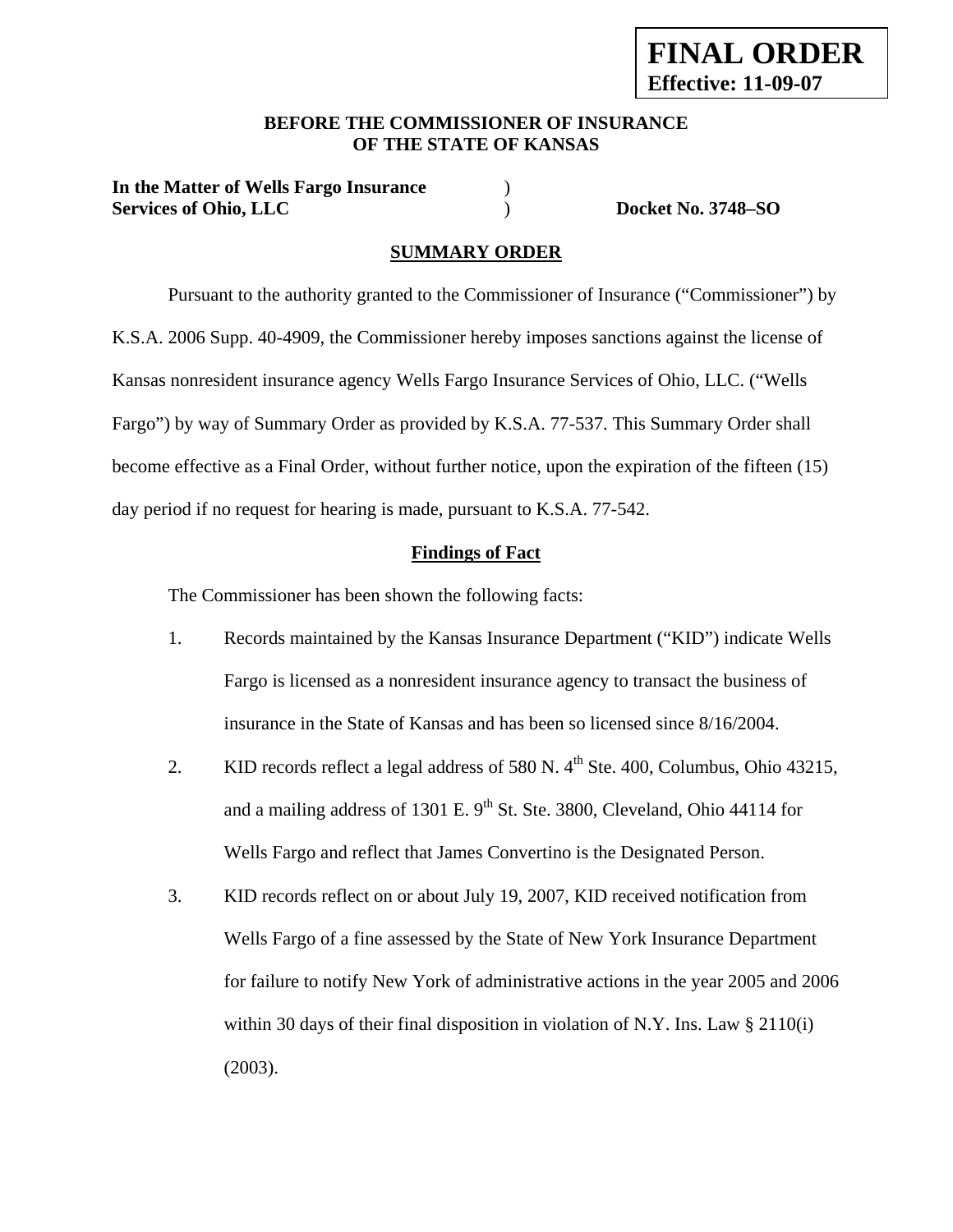### **BEFORE THE COMMISSIONER OF INSURANCE OF THE STATE OF KANSAS**

**In the Matter of Wells Fargo Insurance** ) **Services of Ohio, LLC** ) **Docket No. 3748–SO** 

#### **SUMMARY ORDER**

 Pursuant to the authority granted to the Commissioner of Insurance ("Commissioner") by K.S.A. 2006 Supp. 40-4909, the Commissioner hereby imposes sanctions against the license of Kansas nonresident insurance agency Wells Fargo Insurance Services of Ohio, LLC. ("Wells Fargo") by way of Summary Order as provided by K.S.A. 77-537. This Summary Order shall become effective as a Final Order, without further notice, upon the expiration of the fifteen (15) day period if no request for hearing is made, pursuant to K.S.A. 77-542.

#### **Findings of Fact**

The Commissioner has been shown the following facts:

- 1. Records maintained by the Kansas Insurance Department ("KID") indicate Wells Fargo is licensed as a nonresident insurance agency to transact the business of insurance in the State of Kansas and has been so licensed since 8/16/2004.
- 2. KID records reflect a legal address of 580 N.  $4<sup>th</sup>$  Ste. 400, Columbus, Ohio 43215, and a mailing address of 1301 E.  $9<sup>th</sup>$  St. Ste. 3800, Cleveland, Ohio 44114 for Wells Fargo and reflect that James Convertino is the Designated Person.
- 3. KID records reflect on or about July 19, 2007, KID received notification from Wells Fargo of a fine assessed by the State of New York Insurance Department for failure to notify New York of administrative actions in the year 2005 and 2006 within 30 days of their final disposition in violation of N.Y. Ins. Law  $\S 2110(i)$ (2003).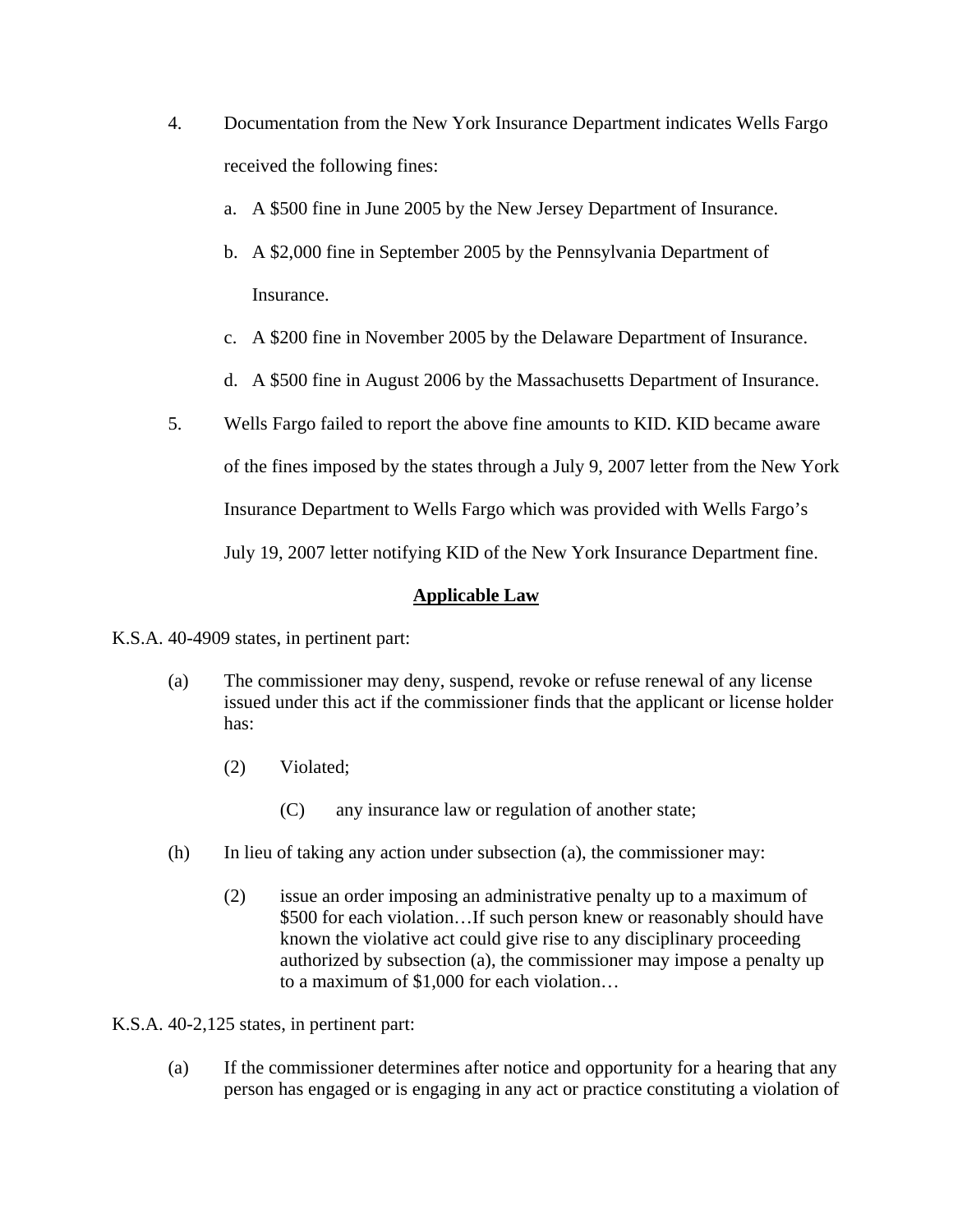- 4. Documentation from the New York Insurance Department indicates Wells Fargo received the following fines:
	- a. A \$500 fine in June 2005 by the New Jersey Department of Insurance.
	- b. A \$2,000 fine in September 2005 by the Pennsylvania Department of Insurance.
	- c. A \$200 fine in November 2005 by the Delaware Department of Insurance.
	- d. A \$500 fine in August 2006 by the Massachusetts Department of Insurance.
- 5. Wells Fargo failed to report the above fine amounts to KID. KID became aware of the fines imposed by the states through a July 9, 2007 letter from the New York Insurance Department to Wells Fargo which was provided with Wells Fargo's July 19, 2007 letter notifying KID of the New York Insurance Department fine.

# **Applicable Law**

- K.S.A. 40-4909 states, in pertinent part:
	- (a) The commissioner may deny, suspend, revoke or refuse renewal of any license issued under this act if the commissioner finds that the applicant or license holder has:
		- (2) Violated;
			- (C) any insurance law or regulation of another state;
	- (h) In lieu of taking any action under subsection (a), the commissioner may:
		- (2) issue an order imposing an administrative penalty up to a maximum of \$500 for each violation…If such person knew or reasonably should have known the violative act could give rise to any disciplinary proceeding authorized by subsection (a), the commissioner may impose a penalty up to a maximum of \$1,000 for each violation…

K.S.A. 40-2,125 states, in pertinent part:

(a) If the commissioner determines after notice and opportunity for a hearing that any person has engaged or is engaging in any act or practice constituting a violation of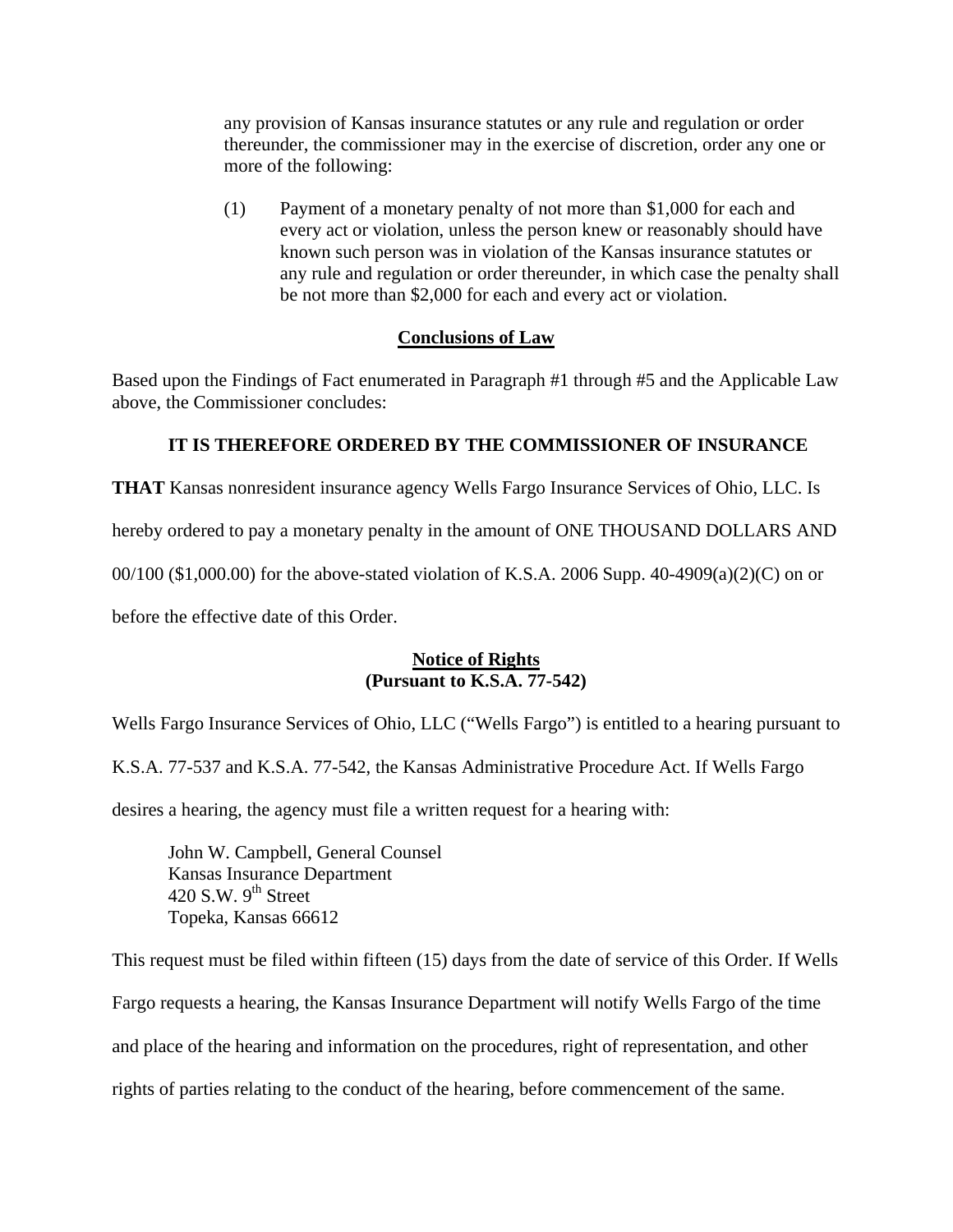any provision of Kansas insurance statutes or any rule and regulation or order thereunder, the commissioner may in the exercise of discretion, order any one or more of the following:

(1) Payment of a monetary penalty of not more than \$1,000 for each and every act or violation, unless the person knew or reasonably should have known such person was in violation of the Kansas insurance statutes or any rule and regulation or order thereunder, in which case the penalty shall be not more than \$2,000 for each and every act or violation.

### **Conclusions of Law**

Based upon the Findings of Fact enumerated in Paragraph #1 through #5 and the Applicable Law above, the Commissioner concludes:

### **IT IS THEREFORE ORDERED BY THE COMMISSIONER OF INSURANCE**

**THAT** Kansas nonresident insurance agency Wells Fargo Insurance Services of Ohio, LLC. Is

hereby ordered to pay a monetary penalty in the amount of ONE THOUSAND DOLLARS AND

00/100 (\$1,000.00) for the above-stated violation of K.S.A. 2006 Supp. 40-4909(a)(2)(C) on or

before the effective date of this Order.

### **Notice of Rights (Pursuant to K.S.A. 77-542)**

Wells Fargo Insurance Services of Ohio, LLC ("Wells Fargo") is entitled to a hearing pursuant to

K.S.A. 77-537 and K.S.A. 77-542, the Kansas Administrative Procedure Act. If Wells Fargo

desires a hearing, the agency must file a written request for a hearing with:

 John W. Campbell, General Counsel Kansas Insurance Department 420 S.W.  $9<sup>th</sup>$  Street Topeka, Kansas 66612

This request must be filed within fifteen (15) days from the date of service of this Order. If Wells Fargo requests a hearing, the Kansas Insurance Department will notify Wells Fargo of the time and place of the hearing and information on the procedures, right of representation, and other rights of parties relating to the conduct of the hearing, before commencement of the same.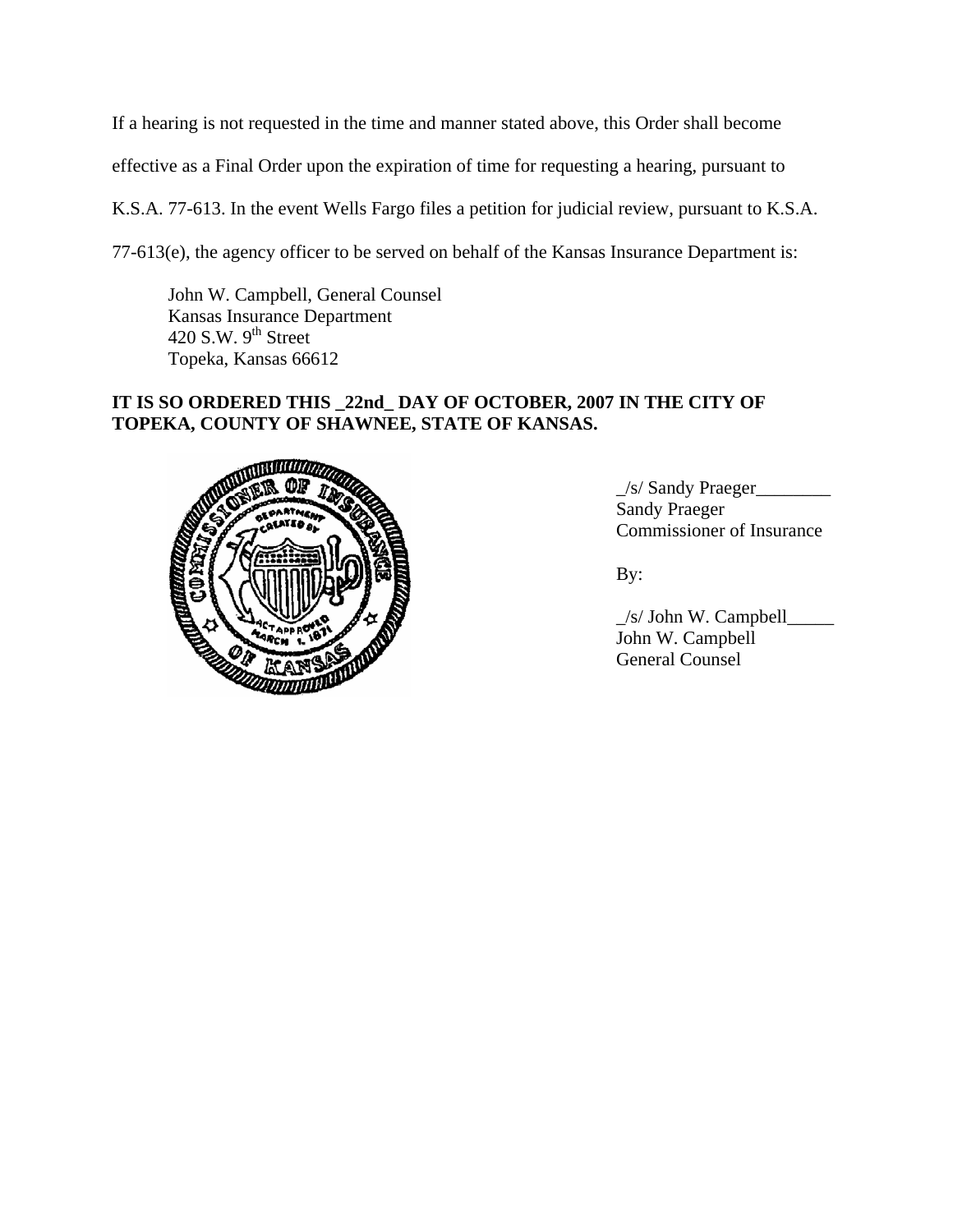If a hearing is not requested in the time and manner stated above, this Order shall become

effective as a Final Order upon the expiration of time for requesting a hearing, pursuant to

K.S.A. 77-613. In the event Wells Fargo files a petition for judicial review, pursuant to K.S.A.

77-613(e), the agency officer to be served on behalf of the Kansas Insurance Department is:

 John W. Campbell, General Counsel Kansas Insurance Department 420 S.W.  $9<sup>th</sup>$  Street Topeka, Kansas 66612

# **IT IS SO ORDERED THIS \_22nd\_ DAY OF OCTOBER, 2007 IN THE CITY OF TOPEKA, COUNTY OF SHAWNEE, STATE OF KANSAS.**



\_/s/ Sandy Praeger\_\_\_\_\_\_\_\_ Sandy Praeger Commissioner of Insurance

 $\angle$ s/ John W. Campbell $\Box$  John W. Campbell General Counsel